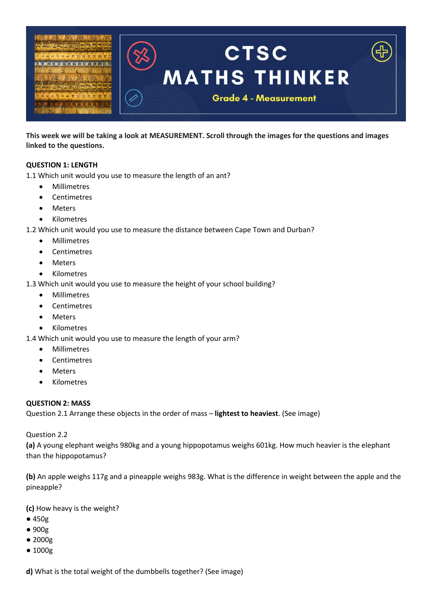

**This week we will be taking a look at MEASUREMENT. Scroll through the images for the questions and images linked to the questions.**

## **QUESTION 1: LENGTH**

1.1 Which unit would you use to measure the length of an ant?

- Millimetres
- Centimetres
- Meters
- Kilometres

1.2 Which unit would you use to measure the distance between Cape Town and Durban?

- Millimetres
- Centimetres
- Meters
- Kilometres
- 1.3 Which unit would you use to measure the height of your school building?
	- Millimetres
	- Centimetres
	- Meters
	- Kilometres

1.4 Which unit would you use to measure the length of your arm?

- Millimetres
- Centimetres
- **Meters**
- Kilometres

#### **QUESTION 2: MASS**

Question 2.1 Arrange these objects in the order of mass – **lightest to heaviest**. (See image)

Question 2.2

**(a)** A young elephant weighs 980kg and a young hippopotamus weighs 601kg. How much heavier is the elephant than the hippopotamus?

**(b)** An apple weighs 117g and a pineapple weighs 983g. What is the difference in weight between the apple and the pineapple?

**(c)** How heavy is the weight?

- 450g
- 900g
- 2000g
- 1000g

**d)** What is the total weight of the dumbbells together? (See image)